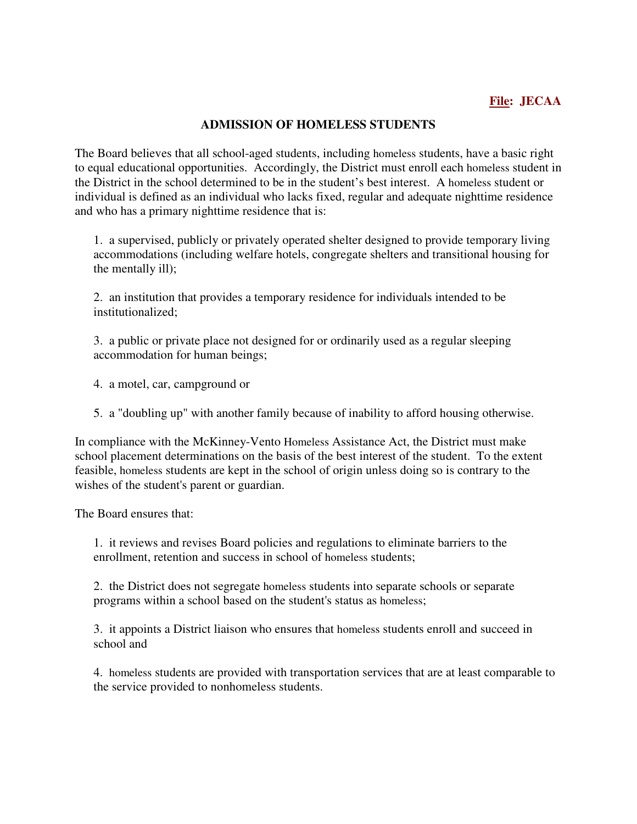## **ADMISSION OF HOMELESS STUDENTS**

The Board believes that all school-aged students, including homeless students, have a basic right to equal educational opportunities. Accordingly, the District must enroll each homeless student in the District in the school determined to be in the student's best interest. A homeless student or individual is defined as an individual who lacks fixed, regular and adequate nighttime residence and who has a primary nighttime residence that is:

1. a supervised, publicly or privately operated shelter designed to provide temporary living accommodations (including welfare hotels, congregate shelters and transitional housing for the mentally ill);

2. an institution that provides a temporary residence for individuals intended to be institutionalized;

3. a public or private place not designed for or ordinarily used as a regular sleeping accommodation for human beings;

4. a motel, car, campground or

5. a "doubling up" with another family because of inability to afford housing otherwise.

In compliance with the McKinney-Vento Homeless Assistance Act, the District must make school placement determinations on the basis of the best interest of the student. To the extent feasible, homeless students are kept in the school of origin unless doing so is contrary to the wishes of the student's parent or guardian.

The Board ensures that:

1. it reviews and revises Board policies and regulations to eliminate barriers to the enrollment, retention and success in school of homeless students;

2. the District does not segregate homeless students into separate schools or separate programs within a school based on the student's status as homeless;

3. it appoints a District liaison who ensures that homeless students enroll and succeed in school and

4. homeless students are provided with transportation services that are at least comparable to the service provided to nonhomeless students.